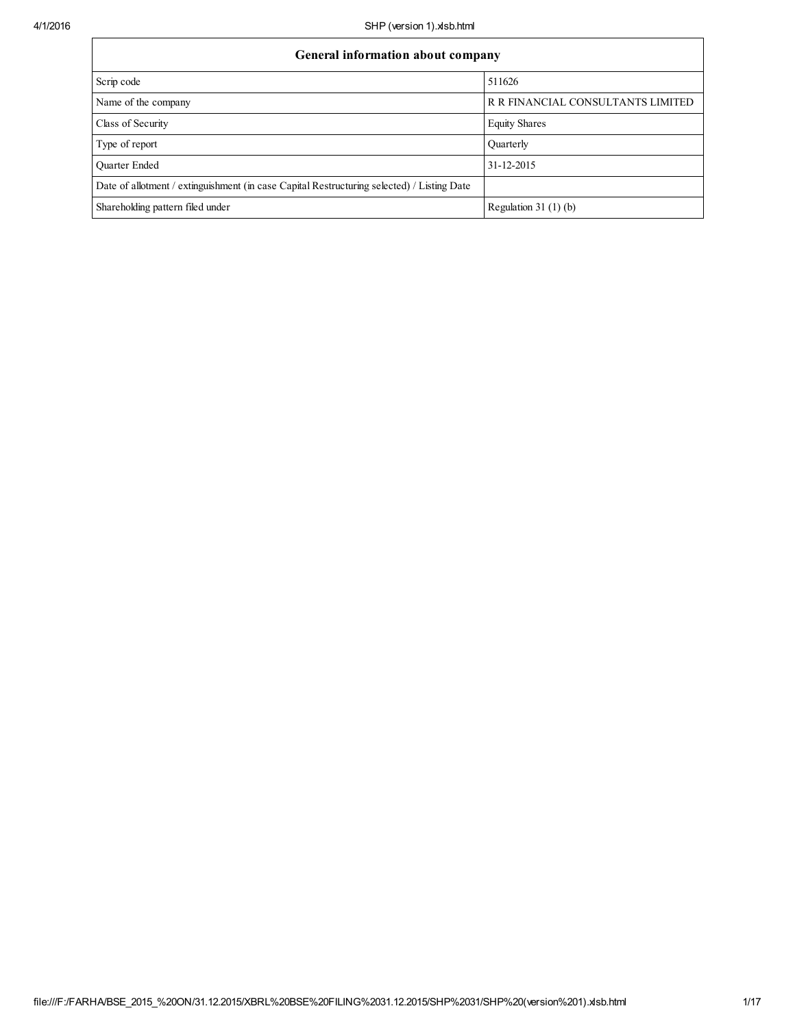| General information about company                                                          |                                   |  |  |  |  |  |
|--------------------------------------------------------------------------------------------|-----------------------------------|--|--|--|--|--|
| Scrip code                                                                                 | 511626                            |  |  |  |  |  |
| Name of the company                                                                        | R R FINANCIAL CONSULTANTS LIMITED |  |  |  |  |  |
| Class of Security                                                                          | <b>Equity Shares</b>              |  |  |  |  |  |
| Type of report                                                                             | Quarterly                         |  |  |  |  |  |
| <b>Ouarter Ended</b>                                                                       | 31-12-2015                        |  |  |  |  |  |
| Date of allotment / extinguishment (in case Capital Restructuring selected) / Listing Date |                                   |  |  |  |  |  |
| Shareholding pattern filed under                                                           | Regulation 31 $(1)(b)$            |  |  |  |  |  |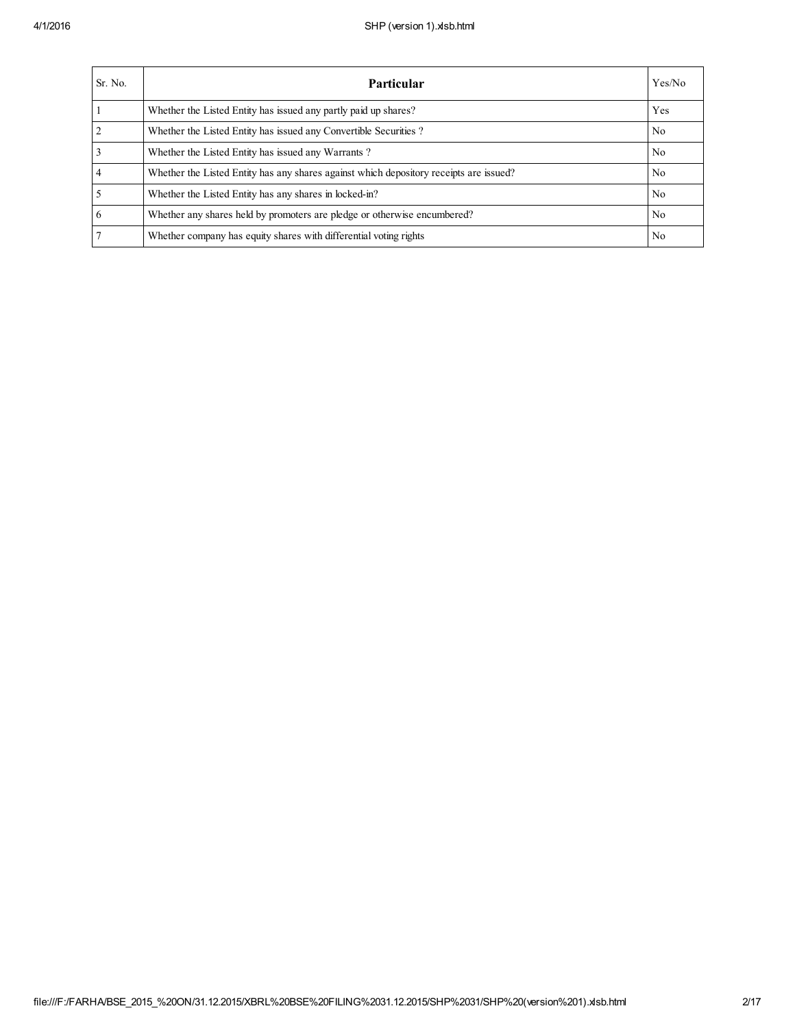| Sr. No.        | Particular                                                                             | Yes/No |
|----------------|----------------------------------------------------------------------------------------|--------|
|                | Whether the Listed Entity has issued any partly paid up shares?                        | Yes    |
| $\overline{2}$ | Whether the Listed Entity has issued any Convertible Securities?                       | No.    |
| 3              | Whether the Listed Entity has issued any Warrants?                                     | No.    |
| $\overline{4}$ | Whether the Listed Entity has any shares against which depository receipts are issued? | No.    |
|                | Whether the Listed Entity has any shares in locked-in?                                 | No.    |
| 6              | Whether any shares held by promoters are pledge or otherwise encumbered?               | No.    |
|                | Whether company has equity shares with differential voting rights                      | No.    |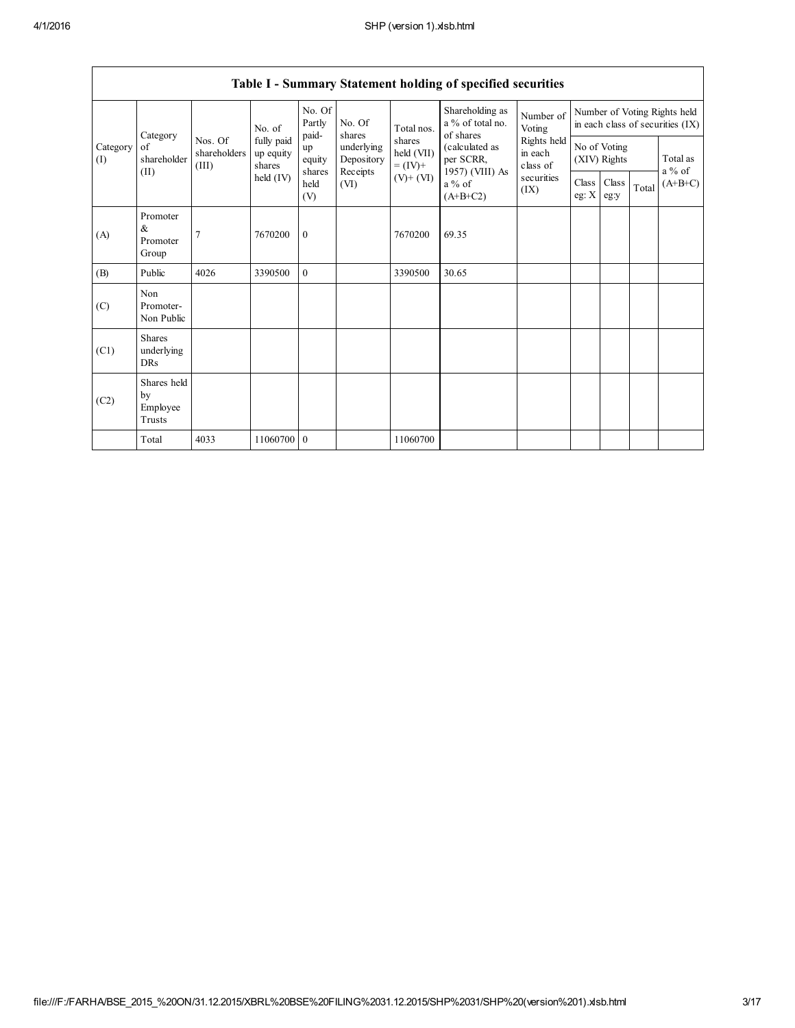|                 | Table I - Summary Statement holding of specified securities |                                  |                                   |                       |                                              |                                                      |                                                                          |                                                                  |                              |               |       |                      |
|-----------------|-------------------------------------------------------------|----------------------------------|-----------------------------------|-----------------------|----------------------------------------------|------------------------------------------------------|--------------------------------------------------------------------------|------------------------------------------------------------------|------------------------------|---------------|-------|----------------------|
| Category        |                                                             | No. of                           | No. Of<br>Partly<br>paid-         | No. Of<br>shares      | Total nos.                                   | Shareholding as<br>a % of total no.<br>of shares     | Number of<br>Voting                                                      | Number of Voting Rights held<br>in each class of securities (IX) |                              |               |       |                      |
| Category<br>(I) | of<br>shareholder                                           | Nos. Of<br>shareholders<br>(III) | fully paid<br>up equity<br>shares | up<br>equity          | underlying<br>Depository<br>Receipts<br>(VI) | shares<br>held (VII)<br>$= (IV) +$<br>$(V)$ + $(VI)$ | (calculated as<br>per SCRR,<br>1957) (VIII) As<br>$a\%$ of<br>$(A+B+C2)$ | Rights held<br>in each<br>class of<br>securities<br>(IX)         | No of Voting<br>(XIV) Rights |               |       | Total as<br>$a\%$ of |
| (II)            |                                                             |                                  | $\text{held (IV)}$                | shares<br>held<br>(V) |                                              |                                                      |                                                                          |                                                                  | <b>Class</b><br>eg: $X$      | Class<br>eg:y | Total | $(A+B+C)$            |
| (A)             | Promoter<br>&<br>Promoter<br>Group                          | $\overline{7}$                   | 7670200                           | $\mathbf{0}$          |                                              | 7670200                                              | 69.35                                                                    |                                                                  |                              |               |       |                      |
| (B)             | Public                                                      | 4026                             | 3390500                           | $\mathbf{0}$          |                                              | 3390500                                              | 30.65                                                                    |                                                                  |                              |               |       |                      |
| (C)             | Non<br>Promoter-<br>Non Public                              |                                  |                                   |                       |                                              |                                                      |                                                                          |                                                                  |                              |               |       |                      |
| (C1)            | <b>Shares</b><br>underlying<br><b>DRs</b>                   |                                  |                                   |                       |                                              |                                                      |                                                                          |                                                                  |                              |               |       |                      |
| (C2)            | Shares held<br>by<br>Employee<br>Trusts                     |                                  |                                   |                       |                                              |                                                      |                                                                          |                                                                  |                              |               |       |                      |
|                 | Total                                                       | 4033                             | 11060700 0                        |                       |                                              | 11060700                                             |                                                                          |                                                                  |                              |               |       |                      |

Table I - Summary Statement holding of specified securities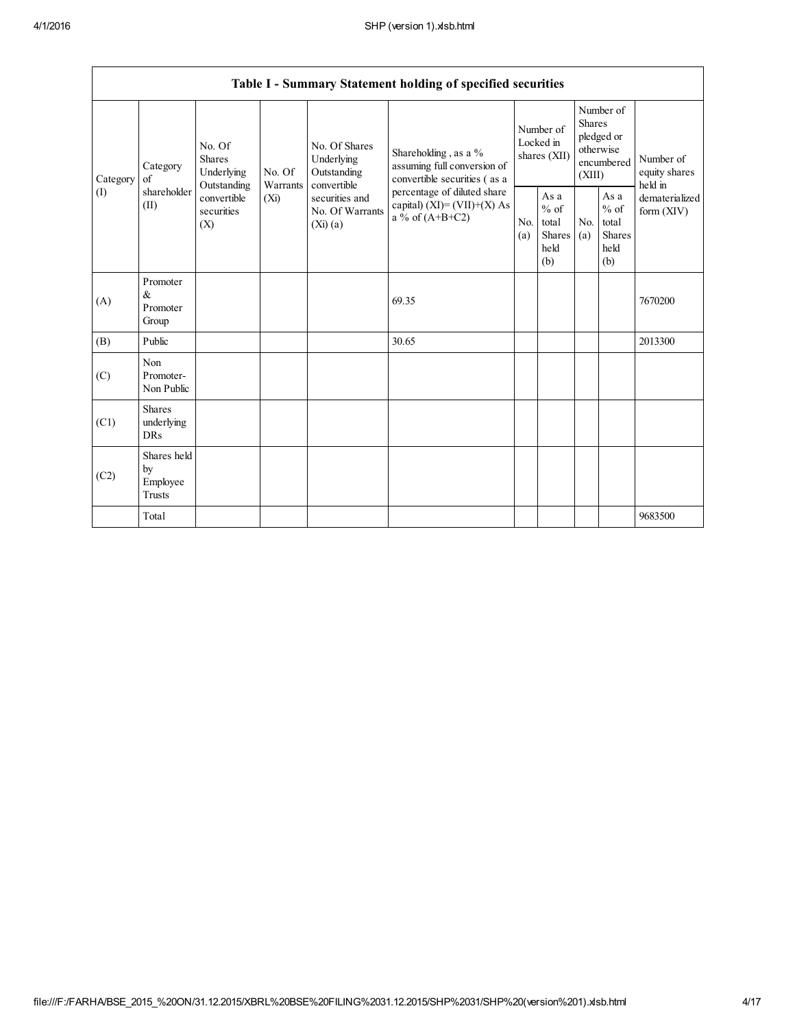$\Gamma$ 

|                            | Table I - Summary Statement holding of specified securities |                                                 |                                                                                                                                                                          |                                                                                     |                                                  |                       |                                                                               |                                |                                       |         |
|----------------------------|-------------------------------------------------------------|-------------------------------------------------|--------------------------------------------------------------------------------------------------------------------------------------------------------------------------|-------------------------------------------------------------------------------------|--------------------------------------------------|-----------------------|-------------------------------------------------------------------------------|--------------------------------|---------------------------------------|---------|
| Category<br>of<br>Category | No. Of<br>Shares<br>Underlying<br>No. Of                    |                                                 | No. Of Shares<br>Underlying<br>Outstanding                                                                                                                               | Shareholding, as a %<br>assuming full conversion of<br>convertible securities (as a | Number of<br>Locked in<br>shares (XII)           |                       | Number of<br><b>Shares</b><br>pledged or<br>otherwise<br>encumbered<br>(XIII) |                                | Number of<br>equity shares<br>held in |         |
| (1)                        | shareholder<br>(II)                                         | Outstanding<br>convertible<br>securities<br>(X) | convertible<br>Warrants<br>percentage of diluted share<br>securities and<br>$(X_i)$<br>capital) $(XI) = (VII)+(X) As$<br>No. Of Warrants<br>a % of $(A+B+C2)$<br>(Xi)(a) | N <sub>0</sub><br>(a)                                                               | As a<br>$%$ of<br>total<br>Shares<br>held<br>(b) | N <sub>0</sub><br>(a) | As a<br>$%$ of<br>total<br>Shares<br>held<br>(b)                              | dematerialized<br>form $(XIV)$ |                                       |         |
| (A)                        | Promoter<br>&<br>Promoter<br>Group                          |                                                 |                                                                                                                                                                          |                                                                                     | 69.35                                            |                       |                                                                               |                                |                                       | 7670200 |
| (B)                        | Public                                                      |                                                 |                                                                                                                                                                          |                                                                                     | 30.65                                            |                       |                                                                               |                                |                                       | 2013300 |
| (C)                        | Non<br>Promoter-<br>Non Public                              |                                                 |                                                                                                                                                                          |                                                                                     |                                                  |                       |                                                                               |                                |                                       |         |
| (C1)                       | <b>Shares</b><br>underlying<br><b>DRs</b>                   |                                                 |                                                                                                                                                                          |                                                                                     |                                                  |                       |                                                                               |                                |                                       |         |
| (C2)                       | Shares held<br>by<br>Employee<br><b>Trusts</b>              |                                                 |                                                                                                                                                                          |                                                                                     |                                                  |                       |                                                                               |                                |                                       |         |
|                            | Total                                                       |                                                 |                                                                                                                                                                          |                                                                                     |                                                  |                       |                                                                               |                                |                                       | 9683500 |

┑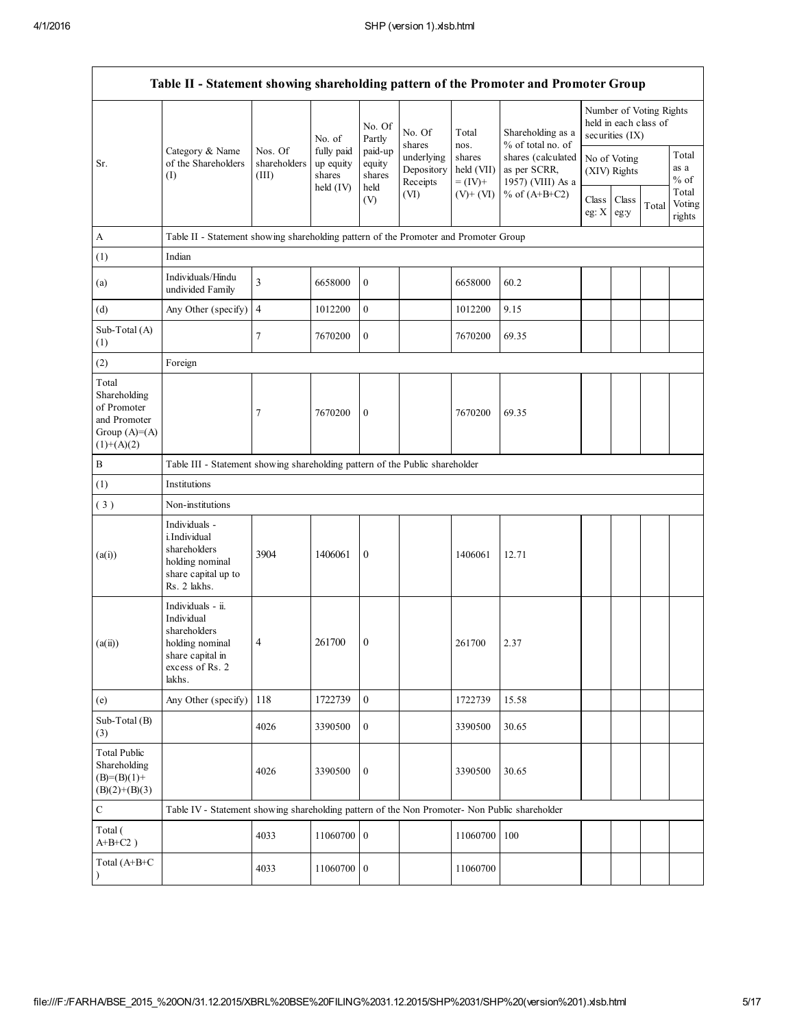| Table II - Statement showing shareholding pattern of the Promoter and Promoter Group    |                                                                                                                     |                                  |                                                |                                     |                                      |                                    |                                                                                              |                              |                 |                                                  |                           |
|-----------------------------------------------------------------------------------------|---------------------------------------------------------------------------------------------------------------------|----------------------------------|------------------------------------------------|-------------------------------------|--------------------------------------|------------------------------------|----------------------------------------------------------------------------------------------|------------------------------|-----------------|--------------------------------------------------|---------------------------|
|                                                                                         |                                                                                                                     |                                  | No. of                                         | No. Of<br>Partly                    | No. Of<br>shares                     | Total<br>nos.                      | Shareholding as a<br>% of total no. of                                                       |                              | securities (IX) | Number of Voting Rights<br>held in each class of |                           |
| Sr.                                                                                     | Category & Name<br>of the Shareholders<br>(I)                                                                       | Nos. Of<br>shareholders<br>(III) | fully paid<br>up equity<br>shares<br>held (IV) | paid-up<br>equity<br>shares<br>held | underlying<br>Depository<br>Receipts | shares<br>held (VII)<br>$= (IV) +$ | shares (calculated<br>as per SCRR,<br>1957) (VIII) As a<br>$(V)$ + $(VI)$<br>% of $(A+B+C2)$ | No of Voting<br>(XIV) Rights |                 |                                                  | Total<br>as a<br>$%$ of   |
|                                                                                         |                                                                                                                     |                                  |                                                | (V)                                 | (VI)                                 |                                    |                                                                                              | Class<br>eg: $X$             | Class<br>eg:y   | Total                                            | Total<br>Voting<br>rights |
| $\boldsymbol{A}$                                                                        | Table II - Statement showing shareholding pattern of the Promoter and Promoter Group                                |                                  |                                                |                                     |                                      |                                    |                                                                                              |                              |                 |                                                  |                           |
| (1)                                                                                     | Indian                                                                                                              |                                  |                                                |                                     |                                      |                                    |                                                                                              |                              |                 |                                                  |                           |
| (a)                                                                                     | Individuals/Hindu<br>undivided Family                                                                               | 3                                | 6658000                                        | $\boldsymbol{0}$                    |                                      | 6658000                            | 60.2                                                                                         |                              |                 |                                                  |                           |
| (d)                                                                                     | Any Other (specify)                                                                                                 | $\overline{4}$                   | 1012200                                        | $\boldsymbol{0}$                    |                                      | 1012200                            | 9.15                                                                                         |                              |                 |                                                  |                           |
| Sub-Total (A)<br>(1)                                                                    |                                                                                                                     | 7                                | 7670200                                        | $\boldsymbol{0}$                    |                                      | 7670200                            | 69.35                                                                                        |                              |                 |                                                  |                           |
| (2)                                                                                     | Foreign                                                                                                             |                                  |                                                |                                     |                                      |                                    |                                                                                              |                              |                 |                                                  |                           |
| Total<br>Shareholding<br>of Promoter<br>and Promoter<br>Group $(A)=(A)$<br>$(1)+(A)(2)$ |                                                                                                                     | 7                                | 7670200                                        | $\boldsymbol{0}$                    |                                      | 7670200                            | 69.35                                                                                        |                              |                 |                                                  |                           |
| B                                                                                       | Table III - Statement showing shareholding pattern of the Public shareholder                                        |                                  |                                                |                                     |                                      |                                    |                                                                                              |                              |                 |                                                  |                           |
| (1)                                                                                     | Institutions                                                                                                        |                                  |                                                |                                     |                                      |                                    |                                                                                              |                              |                 |                                                  |                           |
| (3)                                                                                     | Non-institutions                                                                                                    |                                  |                                                |                                     |                                      |                                    |                                                                                              |                              |                 |                                                  |                           |
| (a(i))                                                                                  | Individuals -<br>i.Individual<br>shareholders<br>holding nominal<br>share capital up to<br>Rs. 2 lakhs.             | 3904                             | 1406061                                        | $\boldsymbol{0}$                    |                                      | 1406061                            | 12.71                                                                                        |                              |                 |                                                  |                           |
| (a(ii))                                                                                 | Individuals - ii.<br>Individual<br>shareholders<br>holding nominal<br>share capital in<br>excess of Rs. 2<br>lakhs. | 4                                | 261700                                         | $\mathbf{0}$                        |                                      | 261700                             | 2.37                                                                                         |                              |                 |                                                  |                           |
| (e)                                                                                     | Any Other (specify)                                                                                                 | 118                              | 1722739                                        | $\boldsymbol{0}$                    |                                      | 1722739                            | 15.58                                                                                        |                              |                 |                                                  |                           |
| Sub-Total (B)<br>(3)                                                                    |                                                                                                                     | 4026                             | 3390500                                        | $\boldsymbol{0}$                    |                                      | 3390500                            | 30.65                                                                                        |                              |                 |                                                  |                           |
| <b>Total Public</b><br>Shareholding<br>$(B)=(B)(1)+$<br>$(B)(2)+(B)(3)$                 |                                                                                                                     | 4026                             | 3390500                                        | $\boldsymbol{0}$                    |                                      | 3390500                            | 30.65                                                                                        |                              |                 |                                                  |                           |
| $\mathbf C$                                                                             | Table IV - Statement showing shareholding pattern of the Non Promoter- Non Public shareholder                       |                                  |                                                |                                     |                                      |                                    |                                                                                              |                              |                 |                                                  |                           |
| Total (<br>$A+B+C2$ )                                                                   |                                                                                                                     | 4033                             | 11060700 0                                     |                                     |                                      | 11060700                           | 100                                                                                          |                              |                 |                                                  |                           |
| Total (A+B+C<br>$\lambda$                                                               |                                                                                                                     | 4033                             | 11060700 0                                     |                                     |                                      | 11060700                           |                                                                                              |                              |                 |                                                  |                           |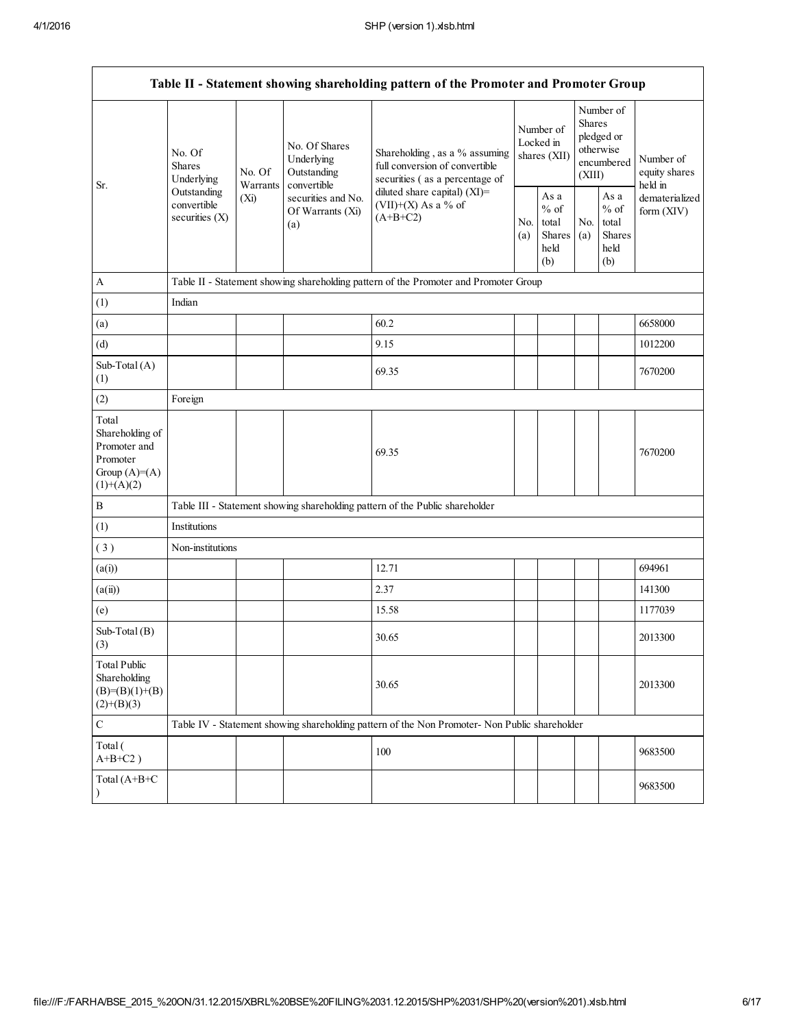| Table II - Statement showing shareholding pattern of the Promoter and Promoter Group   |                                                                                                                       |                                                           |                                                                                                   |                                                                                               |                                                  |                                                                               |                                                  |                                       |         |
|----------------------------------------------------------------------------------------|-----------------------------------------------------------------------------------------------------------------------|-----------------------------------------------------------|---------------------------------------------------------------------------------------------------|-----------------------------------------------------------------------------------------------|--------------------------------------------------|-------------------------------------------------------------------------------|--------------------------------------------------|---------------------------------------|---------|
| Sr.                                                                                    | No. Of<br><b>Shares</b><br>No. Of<br>Underlying<br>Warrants<br>Outstanding<br>(Xi)<br>convertible<br>securities $(X)$ | No. Of Shares<br>Underlying<br>Outstanding<br>convertible | Shareholding, as a % assuming<br>full conversion of convertible<br>securities (as a percentage of | Number of<br>Locked in<br>shares (XII)                                                        |                                                  | Number of<br><b>Shares</b><br>pledged or<br>otherwise<br>encumbered<br>(XIII) |                                                  | Number of<br>equity shares<br>held in |         |
|                                                                                        |                                                                                                                       | securities and No.<br>Of Warrants (Xi)<br>(a)             | diluted share capital) $(XI)$ =<br>(VII)+(X) As a % of<br>$(A+B+C2)$                              |                                                                                               | As a<br>$%$ of<br>total<br>Shares<br>held<br>(b) | No.<br>(a)                                                                    | As a<br>$%$ of<br>total<br>Shares<br>held<br>(b) | dematerialized<br>form $(XIV)$        |         |
| A                                                                                      |                                                                                                                       |                                                           |                                                                                                   | Table II - Statement showing shareholding pattern of the Promoter and Promoter Group          |                                                  |                                                                               |                                                  |                                       |         |
| (1)                                                                                    | Indian                                                                                                                |                                                           |                                                                                                   |                                                                                               |                                                  |                                                                               |                                                  |                                       |         |
| (a)                                                                                    |                                                                                                                       |                                                           |                                                                                                   | 60.2                                                                                          |                                                  |                                                                               |                                                  |                                       | 6658000 |
| (d)                                                                                    |                                                                                                                       |                                                           |                                                                                                   | 9.15                                                                                          |                                                  |                                                                               |                                                  |                                       | 1012200 |
| Sub-Total (A)<br>(1)                                                                   |                                                                                                                       |                                                           |                                                                                                   | 69.35                                                                                         |                                                  |                                                                               |                                                  |                                       | 7670200 |
| (2)                                                                                    | Foreign                                                                                                               |                                                           |                                                                                                   |                                                                                               |                                                  |                                                                               |                                                  |                                       |         |
| Total<br>Shareholding of<br>Promoter and<br>Promoter<br>Group $(A)=A)$<br>$(1)+(A)(2)$ |                                                                                                                       |                                                           |                                                                                                   | 69.35                                                                                         |                                                  |                                                                               |                                                  |                                       | 7670200 |
| $\, {\bf B}$                                                                           |                                                                                                                       |                                                           |                                                                                                   | Table III - Statement showing shareholding pattern of the Public shareholder                  |                                                  |                                                                               |                                                  |                                       |         |
| (1)                                                                                    | Institutions                                                                                                          |                                                           |                                                                                                   |                                                                                               |                                                  |                                                                               |                                                  |                                       |         |
| (3)                                                                                    | Non-institutions                                                                                                      |                                                           |                                                                                                   |                                                                                               |                                                  |                                                                               |                                                  |                                       |         |
| (a(i))                                                                                 |                                                                                                                       |                                                           |                                                                                                   | 12.71                                                                                         |                                                  |                                                                               |                                                  |                                       | 694961  |
| (a(ii))                                                                                |                                                                                                                       |                                                           |                                                                                                   | 2.37                                                                                          |                                                  |                                                                               |                                                  |                                       | 141300  |
| (e)                                                                                    |                                                                                                                       |                                                           |                                                                                                   | 15.58                                                                                         |                                                  |                                                                               |                                                  |                                       | 1177039 |
| Sub-Total (B)<br>(3)                                                                   |                                                                                                                       |                                                           |                                                                                                   | 30.65                                                                                         |                                                  |                                                                               |                                                  |                                       | 2013300 |
| <b>Total Public</b><br>Shareholding<br>$(B)= (B)(1)+(B)$<br>$(2)+(B)(3)$               |                                                                                                                       |                                                           |                                                                                                   | 30.65                                                                                         |                                                  |                                                                               |                                                  |                                       | 2013300 |
| $\mathbf C$                                                                            |                                                                                                                       |                                                           |                                                                                                   | Table IV - Statement showing shareholding pattern of the Non Promoter- Non Public shareholder |                                                  |                                                                               |                                                  |                                       |         |
| Total (<br>$A+B+C2$ )                                                                  |                                                                                                                       |                                                           |                                                                                                   | 100                                                                                           |                                                  |                                                                               |                                                  |                                       | 9683500 |
| Total (A+B+C<br>$\lambda$                                                              |                                                                                                                       |                                                           |                                                                                                   |                                                                                               |                                                  |                                                                               |                                                  |                                       | 9683500 |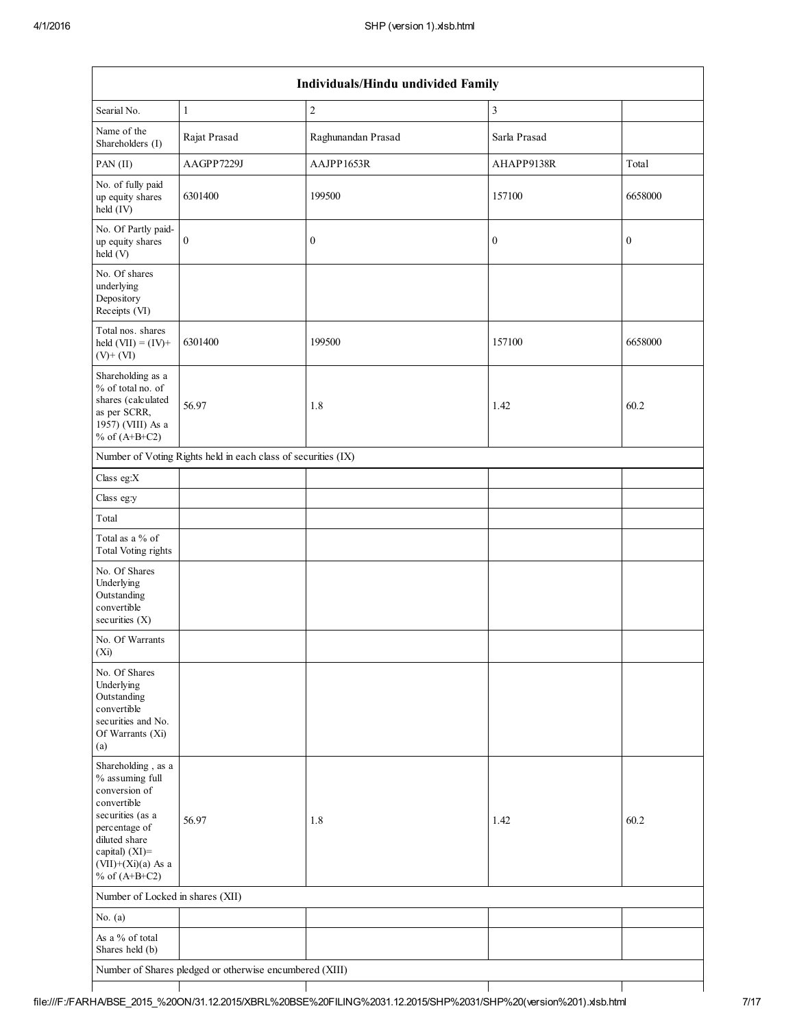| Individuals/Hindu undivided Family                                                                                   |                                                               |                    |                  |                  |  |  |  |
|----------------------------------------------------------------------------------------------------------------------|---------------------------------------------------------------|--------------------|------------------|------------------|--|--|--|
| Searial No.                                                                                                          | 1                                                             | $\overline{c}$     | 3                |                  |  |  |  |
| Name of the<br>Shareholders (I)                                                                                      | Rajat Prasad                                                  | Raghunandan Prasad | Sarla Prasad     |                  |  |  |  |
| PAN (II)                                                                                                             | AAGPP7229J                                                    | AAJPP1653R         | AHAPP9138R       | Total            |  |  |  |
| No. of fully paid<br>up equity shares<br>held (IV)                                                                   | 6301400                                                       | 199500             | 157100           | 6658000          |  |  |  |
| No. Of Partly paid-<br>up equity shares<br>held(V)                                                                   | $\boldsymbol{0}$                                              | $\boldsymbol{0}$   | $\boldsymbol{0}$ | $\boldsymbol{0}$ |  |  |  |
| No. Of shares<br>underlying<br>Depository<br>Receipts (VI)                                                           |                                                               |                    |                  |                  |  |  |  |
| Total nos. shares<br>held $(VII) = (IV) +$<br>$(V)$ + $(VI)$                                                         | 6301400                                                       | 199500             | 157100           | 6658000          |  |  |  |
| Shareholding as a<br>% of total no. of<br>shares (calculated<br>as per SCRR,<br>1957) (VIII) As a<br>% of $(A+B+C2)$ | 56.97                                                         | 1.8                | 1.42             | 60.2             |  |  |  |
|                                                                                                                      | Number of Voting Rights held in each class of securities (IX) |                    |                  |                  |  |  |  |
| Class eg:X                                                                                                           |                                                               |                    |                  |                  |  |  |  |
| Class eg:y                                                                                                           |                                                               |                    |                  |                  |  |  |  |
| Total                                                                                                                |                                                               |                    |                  |                  |  |  |  |
| Total as a % of<br>Total Voting rights                                                                               |                                                               |                    |                  |                  |  |  |  |
| No. Of Shares<br>Underlying<br>Outstanding<br>convertible<br>securities (X)                                          |                                                               |                    |                  |                  |  |  |  |
| No. Of Warrants<br>(Xi)                                                                                              |                                                               |                    |                  |                  |  |  |  |
| No. Of Shares<br>Underlying<br>Outstanding<br>convertible<br>securities and No.<br>Of Warrants (Xi)<br>(a)           |                                                               |                    |                  |                  |  |  |  |
| Shareholding, as a<br>% assuming full<br>conversion of<br>convertible                                                |                                                               |                    |                  |                  |  |  |  |
| securities (as a<br>percentage of<br>diluted share<br>capital) $(XI)$ =<br>$(VII)+(Xi)(a)$ As a<br>% of $(A+B+C2)$   | 56.97                                                         | 1.8                | 1.42             | 60.2             |  |  |  |
| Number of Locked in shares (XII)                                                                                     |                                                               |                    |                  |                  |  |  |  |
| No. $(a)$                                                                                                            |                                                               |                    |                  |                  |  |  |  |
| As a % of total<br>Shares held (b)                                                                                   |                                                               |                    |                  |                  |  |  |  |
|                                                                                                                      | Number of Shares pledged or otherwise encumbered (XIII)       |                    |                  |                  |  |  |  |

 $\mathbf{I}$ 

 $\mathbf{I}$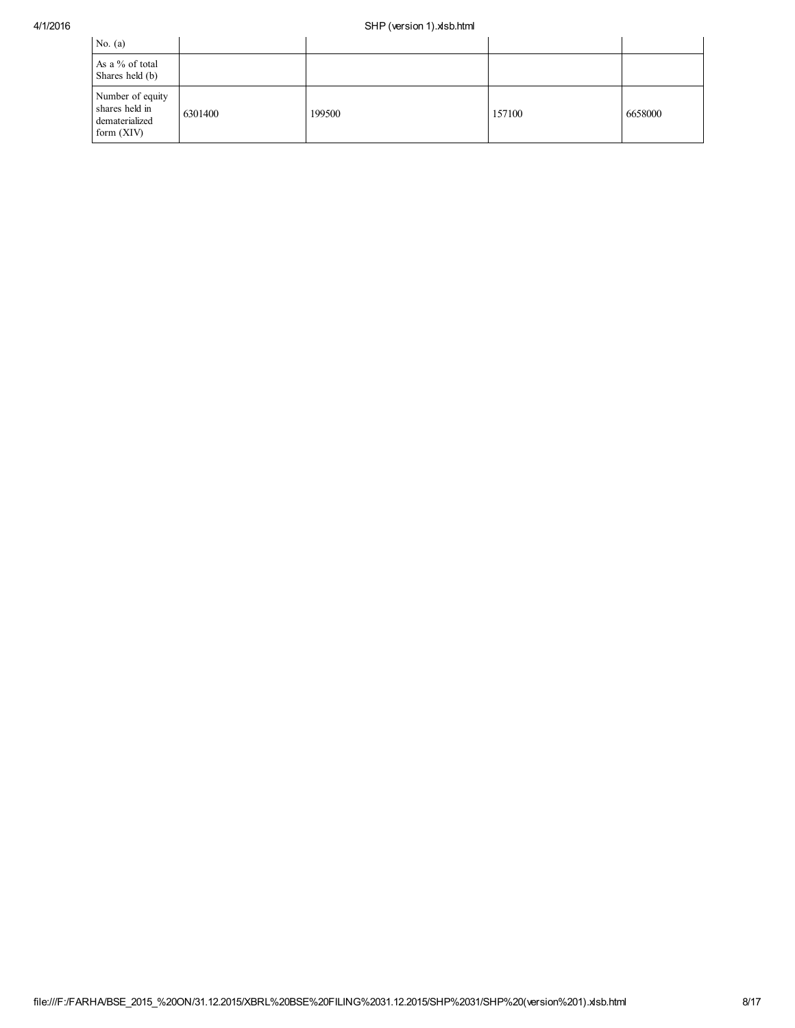| No. $(a)$                                                            |         |        |        |         |
|----------------------------------------------------------------------|---------|--------|--------|---------|
| As a % of total<br>Shares held (b)                                   |         |        |        |         |
| Number of equity<br>shares held in<br>dematerialized<br>form $(XIV)$ | 6301400 | 199500 | 157100 | 6658000 |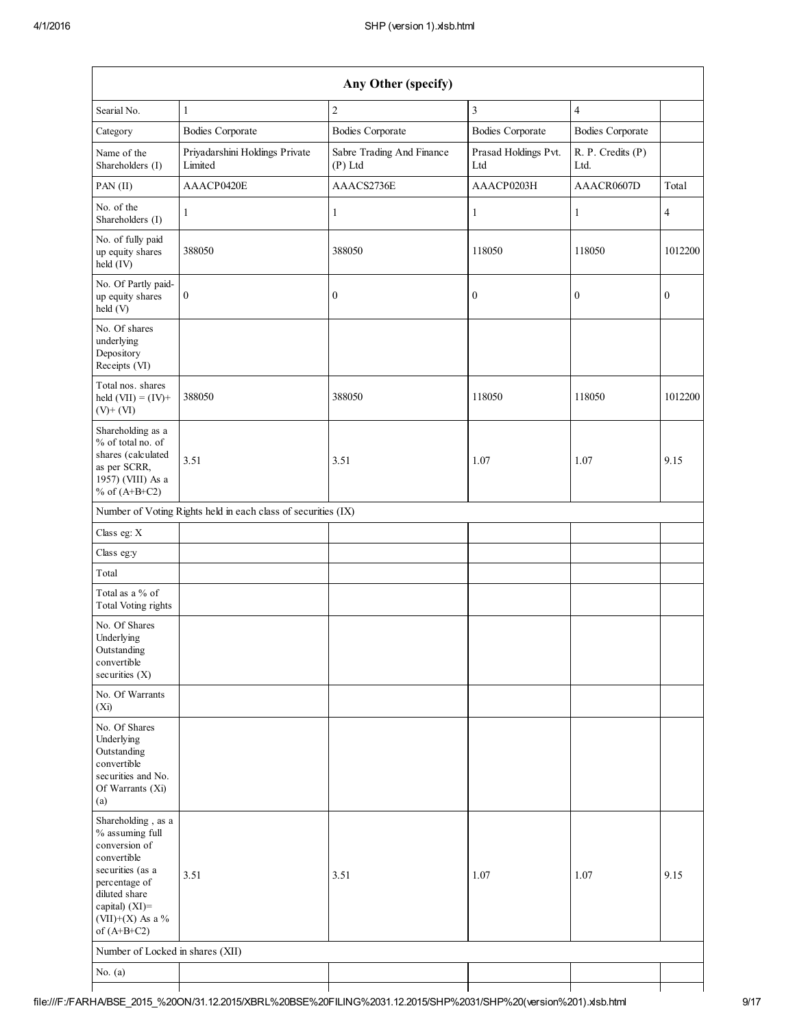| Any Other (specify)                                                                                                                                                                   |                                                               |                                        |                             |                           |                  |  |  |
|---------------------------------------------------------------------------------------------------------------------------------------------------------------------------------------|---------------------------------------------------------------|----------------------------------------|-----------------------------|---------------------------|------------------|--|--|
| Searial No.                                                                                                                                                                           | $\mathbf{1}$                                                  | $\overline{c}$                         | $\mathfrak{Z}$              | $\overline{\mathbf{4}}$   |                  |  |  |
| Category                                                                                                                                                                              | <b>Bodies Corporate</b>                                       | <b>Bodies Corporate</b>                | <b>Bodies Corporate</b>     | <b>Bodies Corporate</b>   |                  |  |  |
| Name of the<br>Shareholders (I)                                                                                                                                                       | Priyadarshini Holdings Private<br>Limited                     | Sabre Trading And Finance<br>$(P)$ Ltd | Prasad Holdings Pvt.<br>Ltd | R. P. Credits (P)<br>Ltd. |                  |  |  |
| $PAN$ (II)                                                                                                                                                                            | AAACP0420E                                                    | AAACS2736E                             | AAACP0203H                  | AAACR0607D                | Total            |  |  |
| No. of the<br>Shareholders (I)                                                                                                                                                        | 1                                                             | 1                                      | $\mathbf{1}$                | 1                         | $\overline{4}$   |  |  |
| No. of fully paid<br>up equity shares<br>held (IV)                                                                                                                                    | 388050                                                        | 388050                                 | 118050                      | 118050                    | 1012200          |  |  |
| No. Of Partly paid-<br>up equity shares<br>held (V)                                                                                                                                   | $\bf{0}$                                                      | $\boldsymbol{0}$                       | $\boldsymbol{0}$            | $\boldsymbol{0}$          | $\boldsymbol{0}$ |  |  |
| No. Of shares<br>underlying<br>Depository<br>Receipts (VI)                                                                                                                            |                                                               |                                        |                             |                           |                  |  |  |
| Total nos. shares<br>held $(VII) = (IV) +$<br>$(V)$ + $(VI)$                                                                                                                          | 388050                                                        | 388050                                 | 118050                      | 118050                    | 1012200          |  |  |
| Shareholding as a<br>% of total no. of<br>shares (calculated<br>as per SCRR,<br>1957) (VIII) As a<br>% of $(A+B+C2)$                                                                  | 3.51                                                          | 3.51                                   | 1.07                        | 1.07                      | 9.15             |  |  |
|                                                                                                                                                                                       | Number of Voting Rights held in each class of securities (IX) |                                        |                             |                           |                  |  |  |
| Class eg: X                                                                                                                                                                           |                                                               |                                        |                             |                           |                  |  |  |
| Class eg:y                                                                                                                                                                            |                                                               |                                        |                             |                           |                  |  |  |
| Total                                                                                                                                                                                 |                                                               |                                        |                             |                           |                  |  |  |
| Total as a % of<br>Total Voting rights                                                                                                                                                |                                                               |                                        |                             |                           |                  |  |  |
| No. Of Shares<br>Underlying<br>Outstanding<br>convertible<br>securities (X)                                                                                                           |                                                               |                                        |                             |                           |                  |  |  |
| No. Of Warrants<br>(X <sub>i</sub> )                                                                                                                                                  |                                                               |                                        |                             |                           |                  |  |  |
| No. Of Shares<br>Underlying<br>Outstanding<br>convertible<br>securities and No.<br>Of Warrants (Xi)<br>(a)                                                                            |                                                               |                                        |                             |                           |                  |  |  |
| Shareholding, as a<br>% assuming full<br>conversion of<br>convertible<br>securities (as a<br>percentage of<br>diluted share<br>capital) $(XI)$ =<br>(VII)+(X) As a %<br>of $(A+B+C2)$ | 3.51                                                          | 3.51                                   | 1.07                        | 1.07                      | 9.15             |  |  |
| Number of Locked in shares (XII)                                                                                                                                                      |                                                               |                                        |                             |                           |                  |  |  |
| No. $(a)$                                                                                                                                                                             |                                                               |                                        |                             |                           |                  |  |  |
|                                                                                                                                                                                       |                                                               |                                        |                             |                           |                  |  |  |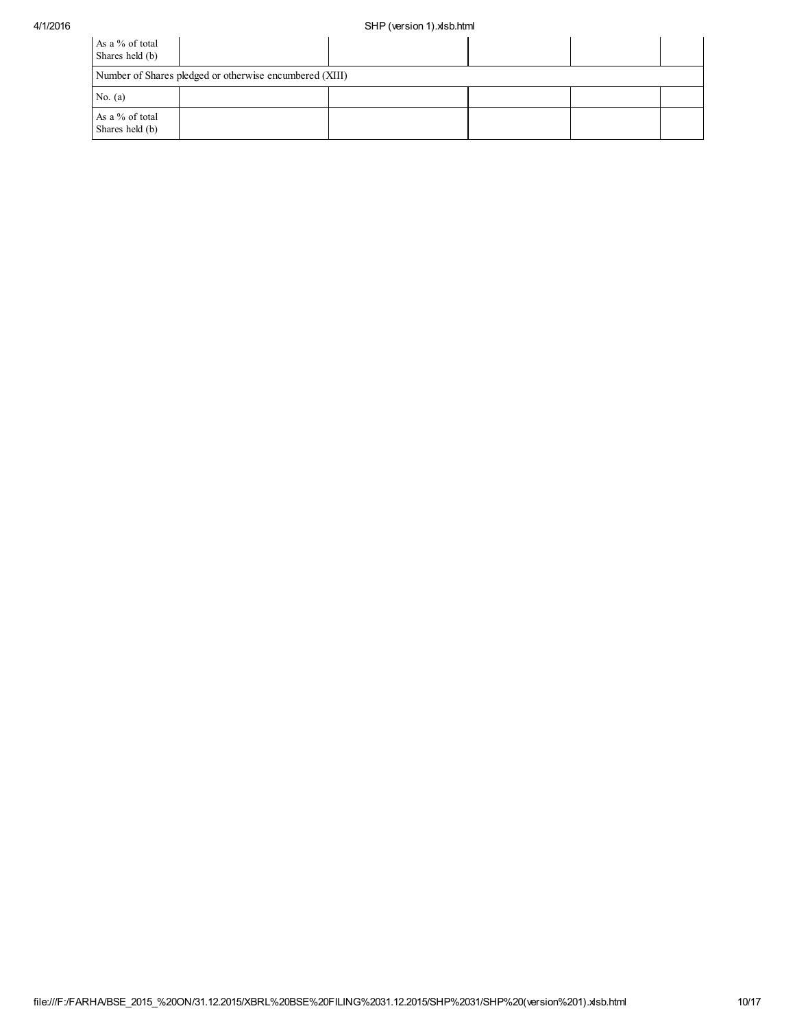## 4/1/2016 SHP (version 1).xlsb.html

| As a % of total<br>Shares held (b) |                                                         |  |  |  |  |  |  |  |
|------------------------------------|---------------------------------------------------------|--|--|--|--|--|--|--|
|                                    | Number of Shares pledged or otherwise encumbered (XIII) |  |  |  |  |  |  |  |
| No. $(a)$                          |                                                         |  |  |  |  |  |  |  |
| As a % of total<br>Shares held (b) |                                                         |  |  |  |  |  |  |  |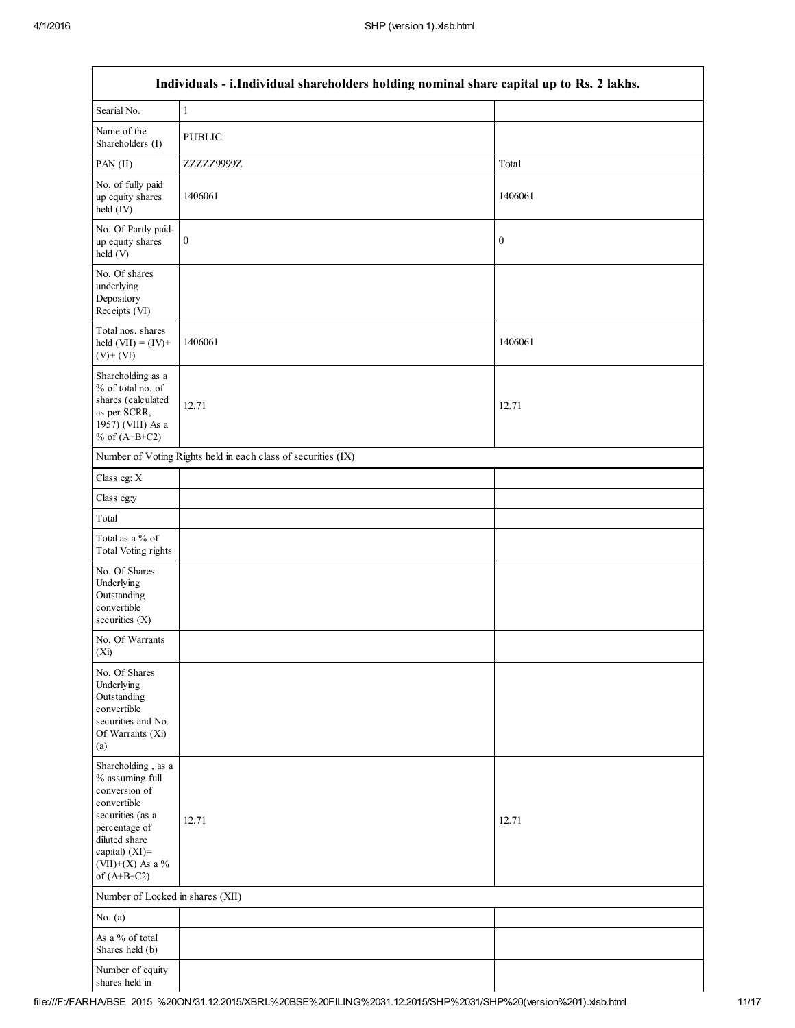| Individuals - i.Individual shareholders holding nominal share capital up to Rs. 2 lakhs.                                                                                           |                                                               |                  |  |  |  |  |
|------------------------------------------------------------------------------------------------------------------------------------------------------------------------------------|---------------------------------------------------------------|------------------|--|--|--|--|
| Searial No.                                                                                                                                                                        | $\,1$                                                         |                  |  |  |  |  |
| Name of the<br>Shareholders (I)                                                                                                                                                    | <b>PUBLIC</b>                                                 |                  |  |  |  |  |
| PAN(II)                                                                                                                                                                            | ZZZZZ9999Z                                                    | Total            |  |  |  |  |
| No. of fully paid<br>up equity shares<br>held (IV)                                                                                                                                 | 1406061                                                       | 1406061          |  |  |  |  |
| No. Of Partly paid-<br>up equity shares<br>held (V)                                                                                                                                | $\boldsymbol{0}$                                              | $\boldsymbol{0}$ |  |  |  |  |
| No. Of shares<br>underlying<br>Depository<br>Receipts (VI)                                                                                                                         |                                                               |                  |  |  |  |  |
| Total nos. shares<br>held $(VII) = (IV) +$<br>$(V)$ + $(VI)$                                                                                                                       | 1406061                                                       | 1406061          |  |  |  |  |
| Shareholding as a<br>% of total no. of<br>shares (calculated<br>as per SCRR,<br>1957) (VIII) As a<br>% of $(A+B+C2)$                                                               | 12.71                                                         | 12.71            |  |  |  |  |
|                                                                                                                                                                                    | Number of Voting Rights held in each class of securities (IX) |                  |  |  |  |  |
| Class eg: X                                                                                                                                                                        |                                                               |                  |  |  |  |  |
| Class eg:y                                                                                                                                                                         |                                                               |                  |  |  |  |  |
| Total                                                                                                                                                                              |                                                               |                  |  |  |  |  |
| Total as a % of<br>Total Voting rights                                                                                                                                             |                                                               |                  |  |  |  |  |
| No. Of Shares<br>Underlying<br>Outstanding<br>convertible<br>securities $(X)$                                                                                                      |                                                               |                  |  |  |  |  |
| No. Of Warrants<br>(Xi)                                                                                                                                                            |                                                               |                  |  |  |  |  |
| No. Of Shares<br>Underlying<br>Outstanding<br>convertible<br>securities and No.<br>Of Warrants (Xi)<br>(a)                                                                         |                                                               |                  |  |  |  |  |
| Shareholding, as a<br>% assuming full<br>conversion of<br>convertible<br>securities (as a<br>percentage of<br>diluted share<br>capital) (XI)=<br>(VII)+(X) As a %<br>of $(A+B+C2)$ | 12.71                                                         | 12.71            |  |  |  |  |
| Number of Locked in shares (XII)                                                                                                                                                   |                                                               |                  |  |  |  |  |
| No. $(a)$                                                                                                                                                                          |                                                               |                  |  |  |  |  |
| As a % of total<br>Shares held (b)                                                                                                                                                 |                                                               |                  |  |  |  |  |
| Number of equity<br>shares held in                                                                                                                                                 |                                                               |                  |  |  |  |  |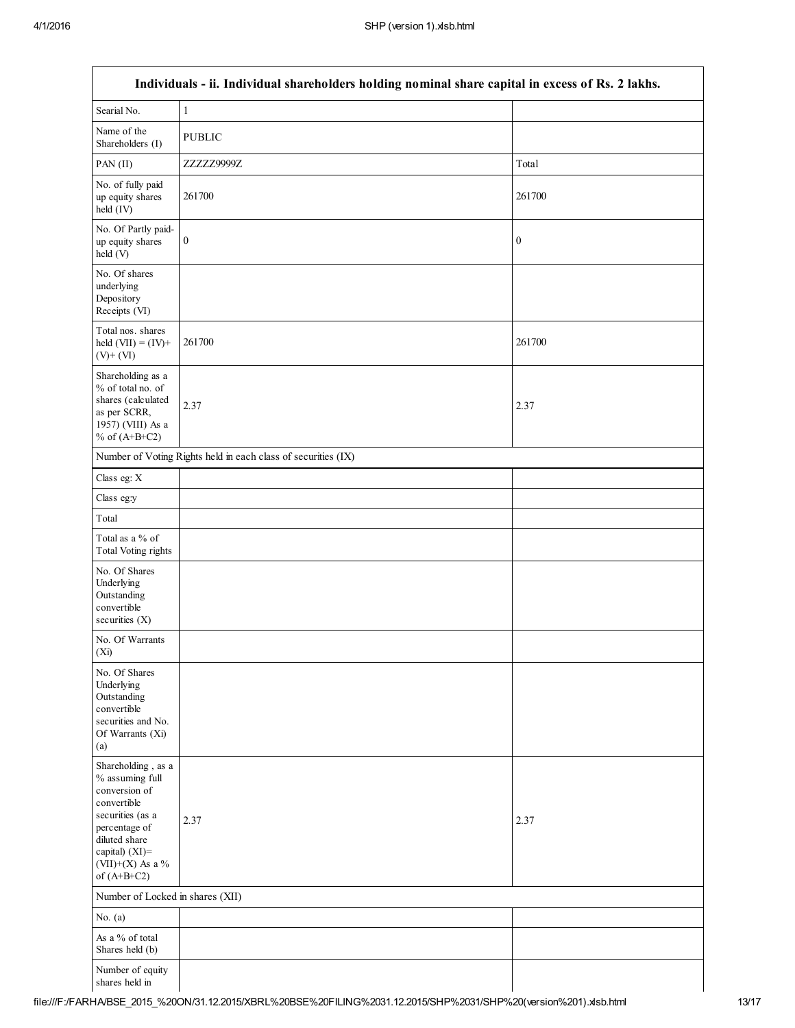| Individuals - ii. Individual shareholders holding nominal share capital in excess of Rs. 2 lakhs.                                                                                  |                                                               |                  |  |  |  |  |
|------------------------------------------------------------------------------------------------------------------------------------------------------------------------------------|---------------------------------------------------------------|------------------|--|--|--|--|
| Searial No.                                                                                                                                                                        | $\,1\,$                                                       |                  |  |  |  |  |
| Name of the<br>Shareholders (I)                                                                                                                                                    | <b>PUBLIC</b>                                                 |                  |  |  |  |  |
| PAN(II)                                                                                                                                                                            | ZZZZZ9999Z                                                    | Total            |  |  |  |  |
| No. of fully paid<br>up equity shares<br>held (IV)                                                                                                                                 | 261700                                                        | 261700           |  |  |  |  |
| No. Of Partly paid-<br>up equity shares<br>held (V)                                                                                                                                | $\boldsymbol{0}$                                              | $\boldsymbol{0}$ |  |  |  |  |
| No. Of shares<br>underlying<br>Depository<br>Receipts (VI)                                                                                                                         |                                                               |                  |  |  |  |  |
| Total nos. shares<br>held $(VII) = (IV) +$<br>$(V)$ + $(VI)$                                                                                                                       | 261700                                                        | 261700           |  |  |  |  |
| Shareholding as a<br>% of total no. of<br>shares (calculated<br>as per SCRR,<br>1957) (VIII) As a<br>% of $(A+B+C2)$                                                               | 2.37                                                          | 2.37             |  |  |  |  |
|                                                                                                                                                                                    | Number of Voting Rights held in each class of securities (IX) |                  |  |  |  |  |
| Class eg: $X$                                                                                                                                                                      |                                                               |                  |  |  |  |  |
| Class eg:y                                                                                                                                                                         |                                                               |                  |  |  |  |  |
| Total                                                                                                                                                                              |                                                               |                  |  |  |  |  |
| Total as a % of<br><b>Total Voting rights</b>                                                                                                                                      |                                                               |                  |  |  |  |  |
| No. Of Shares<br>Underlying<br>Outstanding<br>convertible<br>securities $(X)$                                                                                                      |                                                               |                  |  |  |  |  |
| No. Of Warrants<br>(X <sub>i</sub> )                                                                                                                                               |                                                               |                  |  |  |  |  |
| No. Of Shares<br>Underlying<br>Outstanding<br>convertible<br>securities and No.<br>Of Warrants (Xi)<br>(a)                                                                         |                                                               |                  |  |  |  |  |
| Shareholding, as a<br>% assuming full<br>conversion of<br>convertible<br>securities (as a<br>percentage of<br>diluted share<br>capital) (XI)=<br>(VII)+(X) As a %<br>of $(A+B+C2)$ | 2.37                                                          | 2.37             |  |  |  |  |
| Number of Locked in shares (XII)                                                                                                                                                   |                                                               |                  |  |  |  |  |
| No. $(a)$                                                                                                                                                                          |                                                               |                  |  |  |  |  |
| As a % of total<br>Shares held (b)                                                                                                                                                 |                                                               |                  |  |  |  |  |
| Number of equity<br>shares held in                                                                                                                                                 |                                                               |                  |  |  |  |  |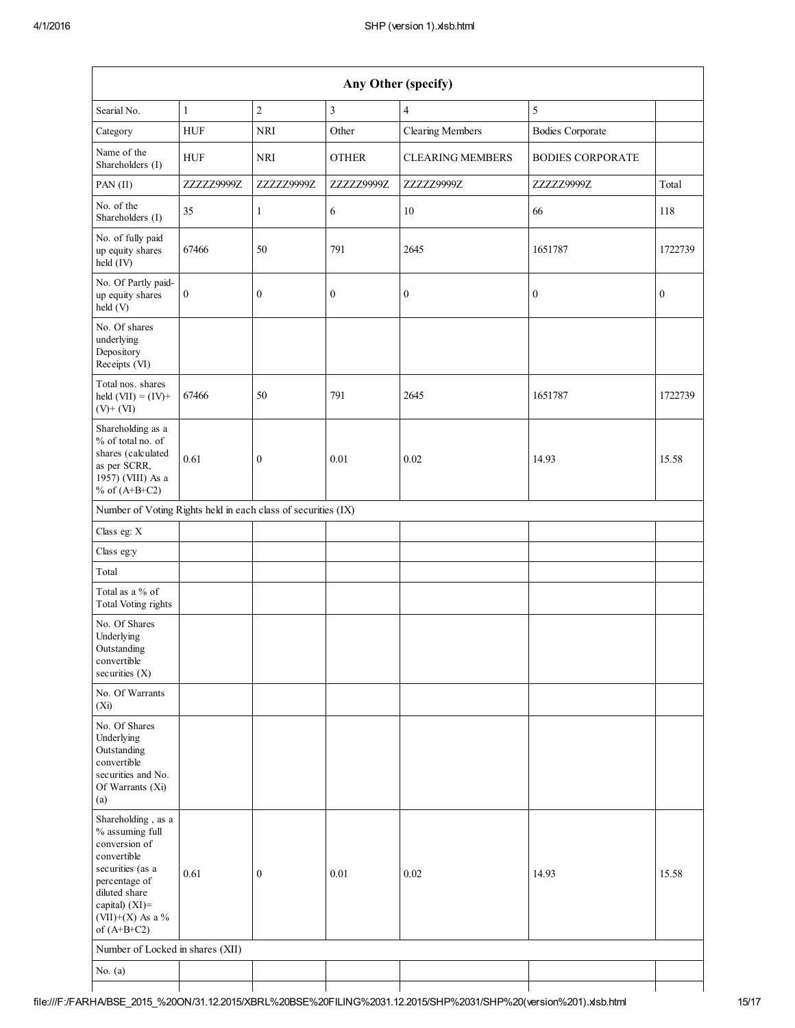| Any Other (specify)                                                                                                                                                                   |              |                  |                  |                         |                         |                  |  |  |  |  |  |
|---------------------------------------------------------------------------------------------------------------------------------------------------------------------------------------|--------------|------------------|------------------|-------------------------|-------------------------|------------------|--|--|--|--|--|
| Searial No.                                                                                                                                                                           | $\mathbf{1}$ | $\sqrt{2}$       | $\mathfrak{Z}$   | $\overline{4}$          | 5                       |                  |  |  |  |  |  |
| Category                                                                                                                                                                              | <b>HUF</b>   | <b>NRI</b>       | Other            | <b>Clearing Members</b> | <b>Bodies Corporate</b> |                  |  |  |  |  |  |
| Name of the<br>Shareholders (I)                                                                                                                                                       | <b>HUF</b>   | <b>NRI</b>       | <b>OTHER</b>     | <b>CLEARING MEMBERS</b> | <b>BODIES CORPORATE</b> |                  |  |  |  |  |  |
| PAN (II)                                                                                                                                                                              | ZZZZZ9999Z   | ZZZZZ9999Z       | ZZZZZ9999Z       | ZZZZZ9999Z              | ZZZZZ9999Z              | Total            |  |  |  |  |  |
| No. of the<br>Shareholders (I)                                                                                                                                                        | 35           | 1                | 6                | 10                      | 66                      | 118              |  |  |  |  |  |
| No. of fully paid<br>up equity shares<br>held (IV)                                                                                                                                    | 67466        | 50               | 791              | 2645                    | 1651787                 | 1722739          |  |  |  |  |  |
| No. Of Partly paid-<br>up equity shares<br>held(V)                                                                                                                                    | 0            | $\boldsymbol{0}$ | $\boldsymbol{0}$ | $\boldsymbol{0}$        | $\boldsymbol{0}$        | $\boldsymbol{0}$ |  |  |  |  |  |
| No. Of shares<br>underlying<br>Depository<br>Receipts (VI)                                                                                                                            |              |                  |                  |                         |                         |                  |  |  |  |  |  |
| Total nos. shares<br>held $(VII) = (IV) +$<br>$(V)$ + $(VI)$                                                                                                                          | 67466        | 50               | 791              | 2645                    | 1651787                 | 1722739          |  |  |  |  |  |
| Shareholding as a<br>% of total no. of<br>shares (calculated<br>as per SCRR,<br>1957) (VIII) As a<br>% of $(A+B+C2)$                                                                  | 0.61         | $\boldsymbol{0}$ | 0.01             | 0.02                    | 14.93                   | 15.58            |  |  |  |  |  |
| Number of Voting Rights held in each class of securities (IX)                                                                                                                         |              |                  |                  |                         |                         |                  |  |  |  |  |  |
| Class eg: X                                                                                                                                                                           |              |                  |                  |                         |                         |                  |  |  |  |  |  |
| Class eg:y                                                                                                                                                                            |              |                  |                  |                         |                         |                  |  |  |  |  |  |
| Total                                                                                                                                                                                 |              |                  |                  |                         |                         |                  |  |  |  |  |  |
| Total as a % of<br><b>Total Voting rights</b>                                                                                                                                         |              |                  |                  |                         |                         |                  |  |  |  |  |  |
| No. Of Shares<br>Underlying<br>Outstanding<br>convertible<br>securities $(X)$                                                                                                         |              |                  |                  |                         |                         |                  |  |  |  |  |  |
| No. Of Warrants<br>(X <sub>i</sub> )                                                                                                                                                  |              |                  |                  |                         |                         |                  |  |  |  |  |  |
| No. Of Shares<br>Underlying<br>Outstanding<br>convertible<br>securities and No.<br>Of Warrants (Xi)<br>(a)                                                                            |              |                  |                  |                         |                         |                  |  |  |  |  |  |
| Shareholding, as a<br>% assuming full<br>conversion of<br>convertible<br>securities (as a<br>percentage of<br>diluted share<br>capital) $(XI)$ =<br>(VII)+(X) As a %<br>of $(A+B+C2)$ | 0.61         | $\boldsymbol{0}$ | 0.01             | 0.02                    | 14.93                   | 15.58            |  |  |  |  |  |
| Number of Locked in shares (XII)                                                                                                                                                      |              |                  |                  |                         |                         |                  |  |  |  |  |  |
| No. $(a)$                                                                                                                                                                             |              |                  |                  |                         |                         |                  |  |  |  |  |  |
|                                                                                                                                                                                       |              |                  |                  |                         |                         |                  |  |  |  |  |  |

⅂